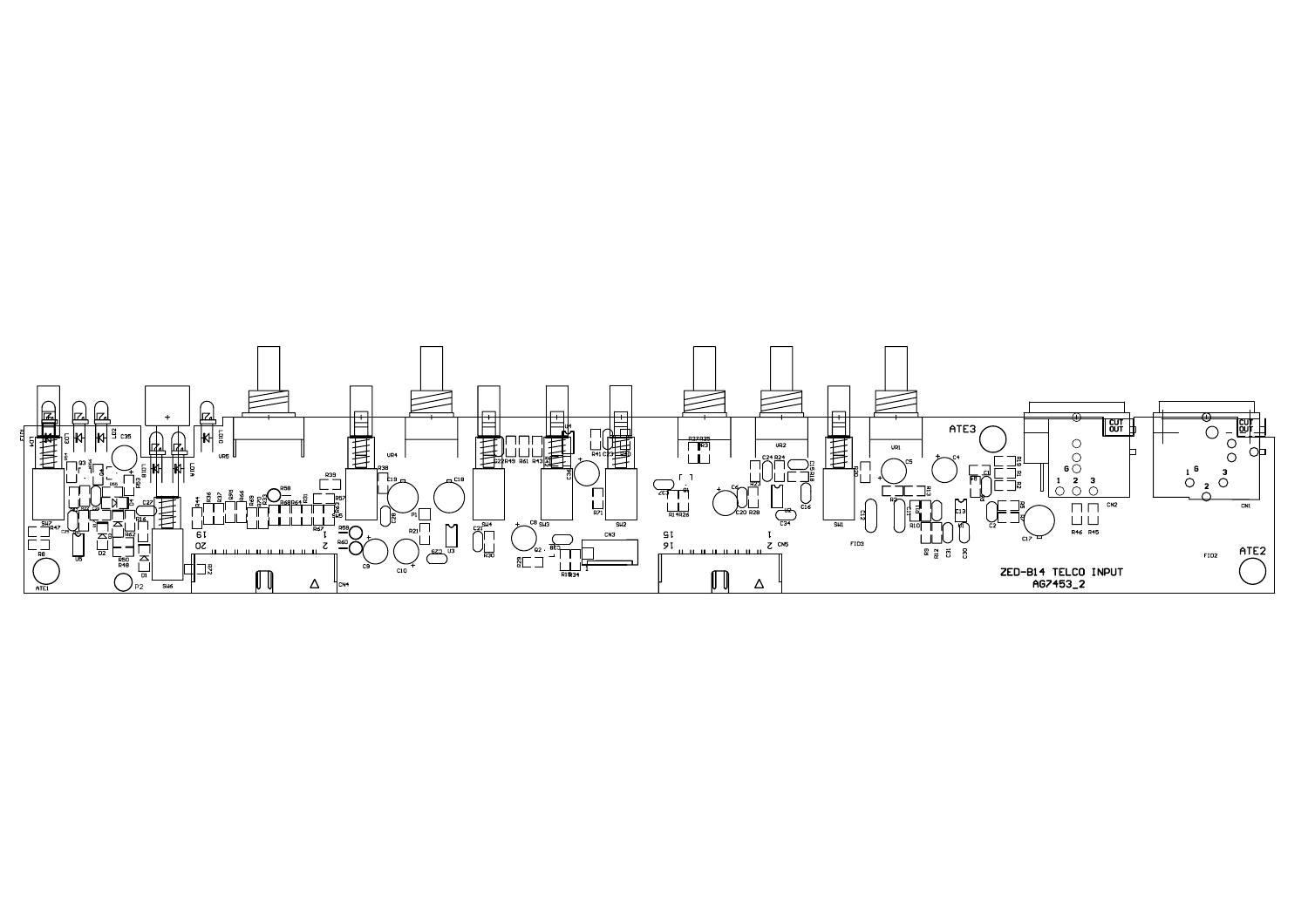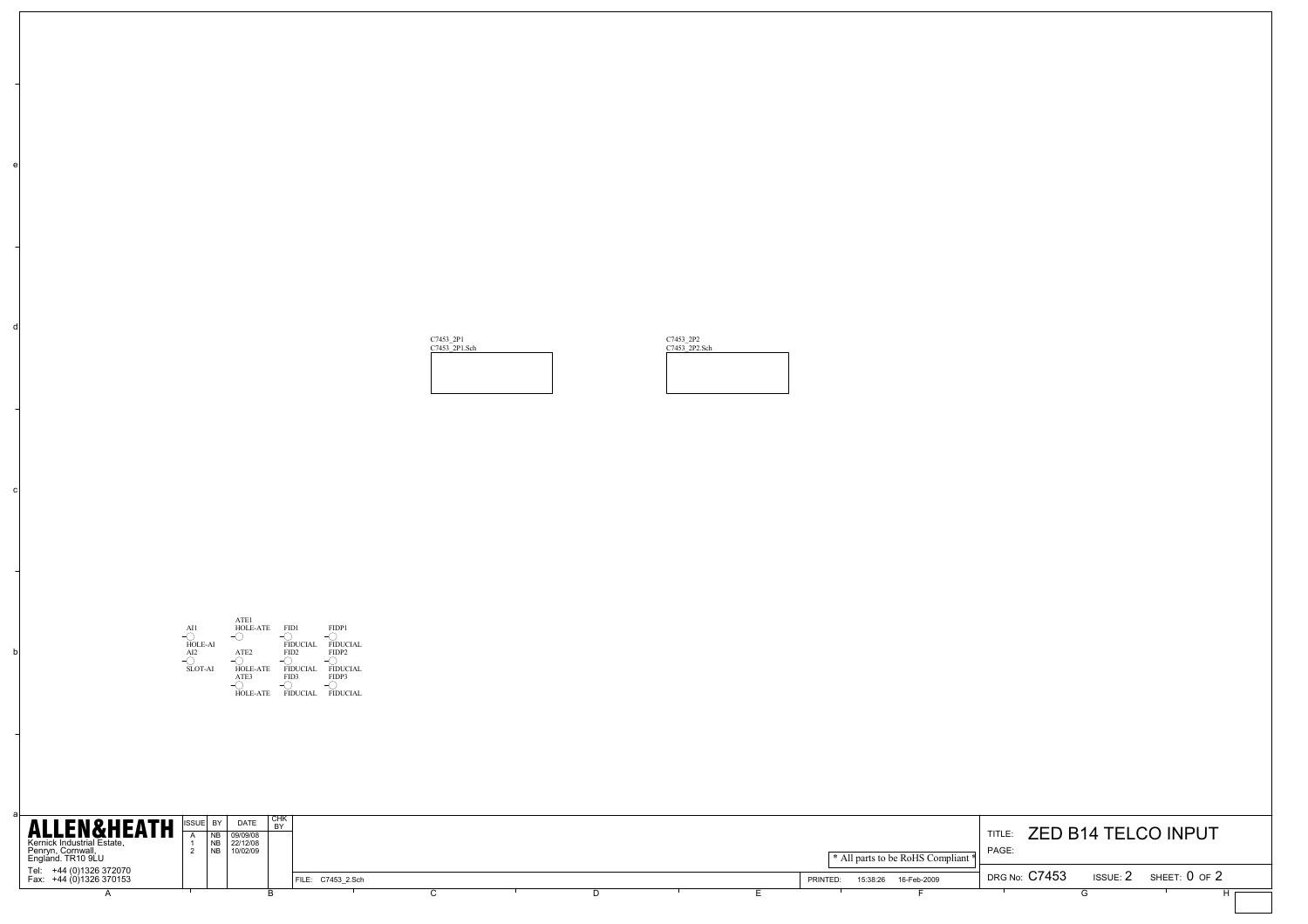

| ALLEN&HEATH SSUEL BY DATE SING<br>Kernick Industrial Estate, |  | NB 09/09/08<br>NB 22/12/08 |                   |  |  |          |                                               | TITLE:                        | ZED B14 TELCO INPUT          |  |
|--------------------------------------------------------------|--|----------------------------|-------------------|--|--|----------|-----------------------------------------------|-------------------------------|------------------------------|--|
| Penryn, Cornwall,<br>England. TR10 9LU                       |  | NB 10/02/09                |                   |  |  |          | <sup>*</sup> All parts to be RoHS Compliant * | PAGE:                         |                              |  |
| Tel: +44 (0)1326 372070<br>Fax: +44 (0)1326 370153           |  |                            | FILE: C7453 2.Sch |  |  | PRINTED: | 15:38:26  16-Feb-2009                         | $^\prime$ DRG No: $\rm C7453$ | ISSUE: $2$ SHEET: $0$ of $2$ |  |
|                                                              |  |                            |                   |  |  |          |                                               |                               |                              |  |

b

c

d

e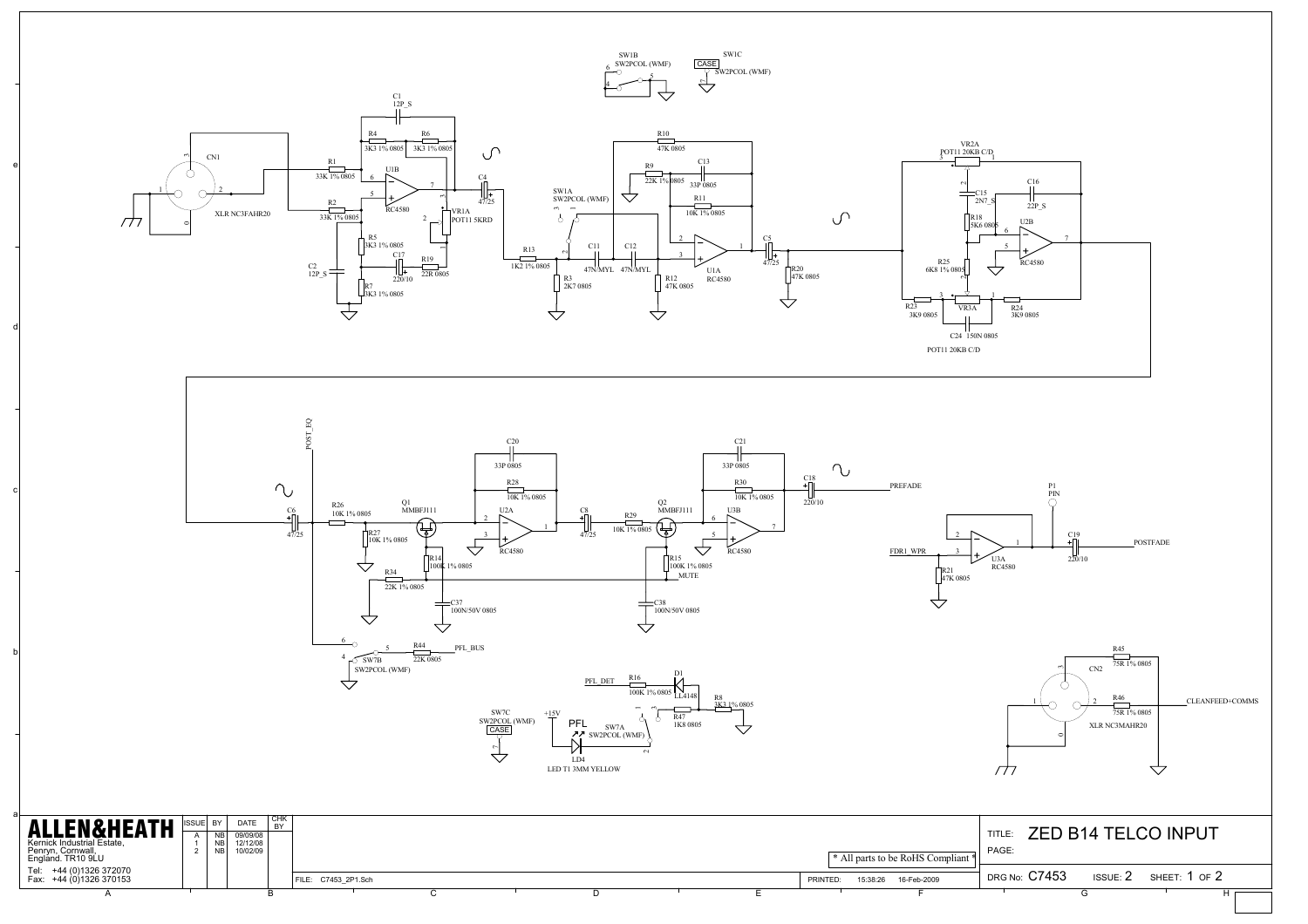